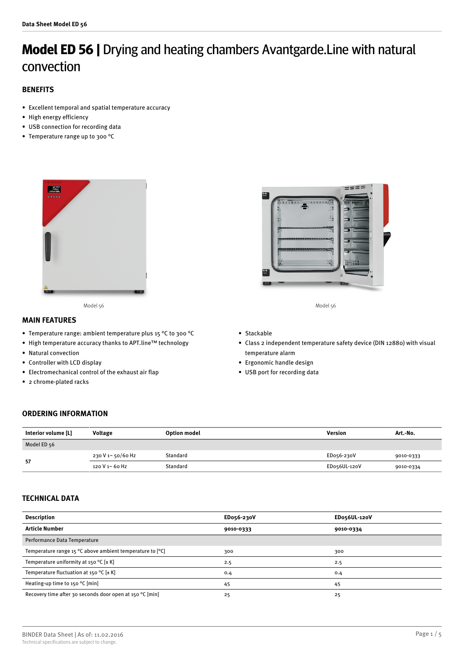# **Model ED 56 |** Drying and heating chambers Avantgarde.Line with natural convection

# **BENEFITS**

- Excellent temporal and spatial temperature accuracy
- High energy efficiency
- USB connection for recording data
- Temperature range up to 300 °C



Model 56 Model 56

## **MAIN FEATURES**

- Temperature range: ambient temperature plus 15 °C to 300 °C
- High temperature accuracy thanks to APT.line™ technology
- Natural convection
- Controller with LCD display
- Electromechanical control of the exhaust air flap
- 2 chrome-plated racks



- Stackable
- Class 2 independent temperature safety device (DIN 12880) with visual temperature alarm
- Ergonomic handle design
- USB port for recording data

## **ORDERING INFORMATION**

| Interior volume [L] | Voltage           | <b>Option model</b> | Version      | Art.-No.  |
|---------------------|-------------------|---------------------|--------------|-----------|
| Model ED 56         |                   |                     |              |           |
| 57                  | 230 V 1~ 50/60 Hz | Standard            | ED056-230V   | 9010-0333 |
|                     | 120 V 1~ 60 Hz    | Standard            | EDo56UL-120V | 9010-0334 |

# **TECHNICAL DATA**

| <b>Description</b>                                                           | ED056-230V | EDo56UL-120V |
|------------------------------------------------------------------------------|------------|--------------|
| <b>Article Number</b>                                                        | 9010-0333  | 9010-0334    |
| Performance Data Temperature                                                 |            |              |
| Temperature range 15 $^{\circ}$ C above ambient temperature to $[^{\circ}C]$ | 300        | 300          |
| Temperature uniformity at 150 °C $[\pm K]$                                   | 2.5        | 2.5          |
| Temperature fluctuation at 150 °C $[\pm K]$                                  | 0.4        | 0.4          |
| Heating-up time to $150^{\circ}$ C [min]                                     | 45         | 45           |
| Recovery time after 30 seconds door open at 150 °C [min]                     | 25         | 25           |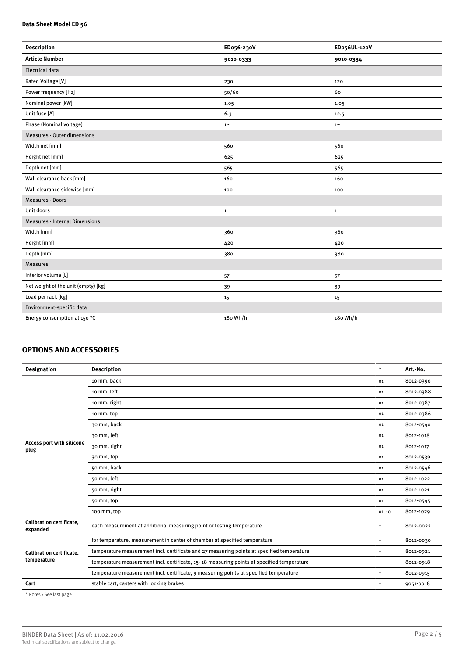#### **Data Sheet Model ED 56**

| <b>Description</b>                    | ED056-230V   | ED056UL-120V |
|---------------------------------------|--------------|--------------|
| <b>Article Number</b>                 | 9010-0333    | 9010-0334    |
| <b>Electrical data</b>                |              |              |
| Rated Voltage [V]                     | 230          | 120          |
| Power frequency [Hz]                  | 50/60        | 60           |
| Nominal power [kW]                    | 1.05         | 1.05         |
| Unit fuse [A]                         | 6.3          | 12.5         |
| Phase (Nominal voltage)               | $1~\sim$     | $1\sim$      |
| <b>Measures - Outer dimensions</b>    |              |              |
| Width net [mm]                        | 560          | 560          |
| Height net [mm]                       | 625          | 625          |
| Depth net [mm]                        | 565          | 565          |
| Wall clearance back [mm]              | 160          | 160          |
| Wall clearance sidewise [mm]          | 100          | 100          |
| <b>Measures - Doors</b>               |              |              |
| Unit doors                            | $\mathbf{1}$ | $\mathbf 1$  |
| <b>Measures - Internal Dimensions</b> |              |              |
| Width [mm]                            | 360          | 360          |
| Height [mm]                           | 420          | 420          |
| Depth [mm]                            | 380          | 380          |
| <b>Measures</b>                       |              |              |
| Interior volume [L]                   | 57           | 57           |
| Net weight of the unit (empty) [kg]   | 39           | 39           |
| Load per rack [kg]                    | 15           | 15           |
| Environment-specific data             |              |              |
| Energy consumption at 150 °C          | 180 Wh/h     | 180 Wh/h     |
|                                       |              |              |

# **OPTIONS AND ACCESSORIES**

| <b>Designation</b>                             | <b>Description</b>                                                                         | $\star$                  | Art.-No.  |
|------------------------------------------------|--------------------------------------------------------------------------------------------|--------------------------|-----------|
|                                                | 10 mm, back                                                                                | 01                       | 8012-0390 |
|                                                | 10 mm, left                                                                                | 01                       | 8012-0388 |
|                                                | 10 mm, right                                                                               | 01                       | 8012-0387 |
|                                                | 10 mm, top                                                                                 | 01                       | 8012-0386 |
|                                                | 30 mm, back                                                                                | 01                       | 8012-0540 |
|                                                | 30 mm, left                                                                                | 01                       | 8012-1018 |
| Access port with silicone<br>plug              | 30 mm, right                                                                               | 01                       | 8012-1017 |
|                                                | 30 mm, top                                                                                 | 01                       | 8012-0539 |
|                                                | 50 mm, back                                                                                | 01                       | 8012-0546 |
|                                                | 50 mm, left                                                                                | 01                       | 8012-1022 |
|                                                | 50 mm, right                                                                               | 01                       | 8012-1021 |
|                                                | 50 mm, top                                                                                 | 01                       | 8012-0545 |
|                                                | 100 mm, top                                                                                | 01, 10                   | 8012-1029 |
| <b>Calibration certificate,</b><br>expanded    | each measurement at additional measuring point or testing temperature                      | $\overline{\phantom{0}}$ | 8012-0022 |
|                                                | for temperature, measurement in center of chamber at specified temperature                 | $\overline{\phantom{a}}$ | 8012-0030 |
| <b>Calibration certificate.</b><br>temperature | temperature measurement incl. certificate and 27 measuring points at specified temperature | $\overline{\phantom{m}}$ | 8012-0921 |
|                                                | temperature measurement incl. certificate, 15-18 measuring points at specified temperature | $\overline{\phantom{a}}$ | 8012-0918 |
|                                                | temperature measurement incl. certificate, 9 measuring points at specified temperature     | $\overline{\phantom{m}}$ | 8012-0915 |
| Cart                                           | stable cart, casters with locking brakes                                                   | $\overline{\phantom{0}}$ | 9051-0018 |

\* Notes › See last page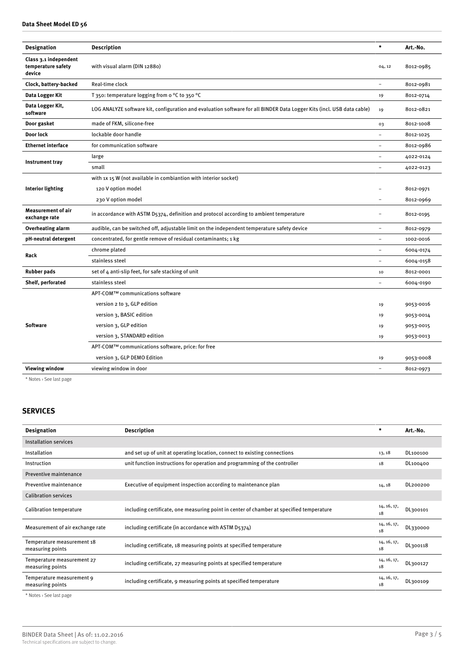### **Data Sheet Model ED 56**

| <b>Designation</b>                                    | <b>Description</b>                                                                                                     | $\star$  | Art.-No.  |
|-------------------------------------------------------|------------------------------------------------------------------------------------------------------------------------|----------|-----------|
| Class 3.1 independent<br>temperature safety<br>device | with visual alarm (DIN 12880)                                                                                          | 04, 12   | 8012-0985 |
| Clock, battery-backed                                 | Real-time clock                                                                                                        |          | 8012-0981 |
| Data Logger Kit                                       | T 350: temperature logging from o °C to 350 °C                                                                         | 19       | 8012-0714 |
| Data Logger Kit,<br>software                          | LOG ANALYZE software kit, configuration and evaluation software for all BINDER Data Logger Kits (incl. USB data cable) | 19       | 8012-0821 |
| Door gasket                                           | made of FKM, silicone-free                                                                                             | 03       | 8012-1008 |
| Door lock                                             | lockable door handle                                                                                                   |          | 8012-1025 |
| <b>Ethernet interface</b>                             | for communication software                                                                                             |          | 8012-0986 |
|                                                       | large                                                                                                                  |          | 4022-0124 |
| Instrument tray                                       | small                                                                                                                  |          | 4022-0123 |
|                                                       | with 1x 15 W (not available in combiantion with interior socket)                                                       |          |           |
| <b>Interior lighting</b>                              | 120 V option model                                                                                                     |          | 8012-0971 |
|                                                       | 230 V option model                                                                                                     |          | 8012-0969 |
| <b>Measurement of air</b><br>exchange rate            | in accordance with ASTM D5374, definition and protocol according to ambient temperature                                | $\equiv$ | 8012-0195 |
| Overheating alarm                                     | audible, can be switched off, adjustable limit on the independent temperature safety device                            | ÷        | 8012-0979 |
| pH-neutral detergent                                  | concentrated, for gentle remove of residual contaminants; 1 kg                                                         |          | 1002-0016 |
| Rack                                                  | chrome plated                                                                                                          |          | 6004-0174 |
|                                                       | stainless steel                                                                                                        | $\equiv$ | 6004-0158 |
| <b>Rubber pads</b>                                    | set of 4 anti-slip feet, for safe stacking of unit                                                                     | 10       | 8012-0001 |
| Shelf, perforated                                     | stainless steel                                                                                                        | $\equiv$ | 6004-0190 |
|                                                       | APT-COM™ communications software                                                                                       |          |           |
|                                                       | version 2 to 3, GLP edition                                                                                            | 19       | 9053-0016 |
| <b>Software</b>                                       | version 3, BASIC edition                                                                                               | 19       | 9053-0014 |
|                                                       | version 3, GLP edition                                                                                                 | 19       | 9053-0015 |
|                                                       | version 3, STANDARD edition                                                                                            | 19       | 9053-0013 |
|                                                       | APT-COM™ communications software, price: for free                                                                      |          |           |
|                                                       | version 3, GLP DEMO Edition                                                                                            | 19       | 9053-0008 |
| <b>Viewing window</b>                                 | viewing window in door                                                                                                 |          | 8012-0973 |
|                                                       |                                                                                                                        |          |           |

\* Notes › See last page

## **SERVICES**

| <b>Designation</b>                                                        | <b>Description</b>                                                                       | $\pmb{*}$         | Art.-No. |
|---------------------------------------------------------------------------|------------------------------------------------------------------------------------------|-------------------|----------|
| <b>Installation services</b>                                              |                                                                                          |                   |          |
| Installation                                                              | and set up of unit at operating location, connect to existing connections                | 13, 18            | DL100100 |
| Instruction                                                               | unit function instructions for operation and programming of the controller               | 18                | DL100400 |
| Preventive maintenance                                                    |                                                                                          |                   |          |
| Preventive maintenance                                                    | Executive of equipment inspection according to maintenance plan                          | 14, 18            | DL200200 |
| <b>Calibration services</b>                                               |                                                                                          |                   |          |
| Calibration temperature                                                   | including certificate, one measuring point in center of chamber at specified temperature | 14, 16, 17,<br>18 | DL300101 |
| Measurement of air exchange rate                                          | including certificate (in accordance with ASTM D5374)                                    | 14, 16, 17,<br>18 | DL330000 |
| Temperature measurement 18<br>measuring points                            | including certificate, 18 measuring points at specified temperature                      | 14, 16, 17,<br>18 | DL300118 |
| Temperature measurement 27<br>measuring points                            | including certificate, 27 measuring points at specified temperature                      | 14, 16, 17,<br>18 | DL300127 |
| Temperature measurement 9<br>measuring points                             | including certificate, 9 measuring points at specified temperature                       | 14, 16, 17,<br>18 | DL300109 |
| $\omega$ and $\omega$ and $\omega$ and $\omega$ and $\omega$ and $\omega$ |                                                                                          |                   |          |

\* Notes › See last page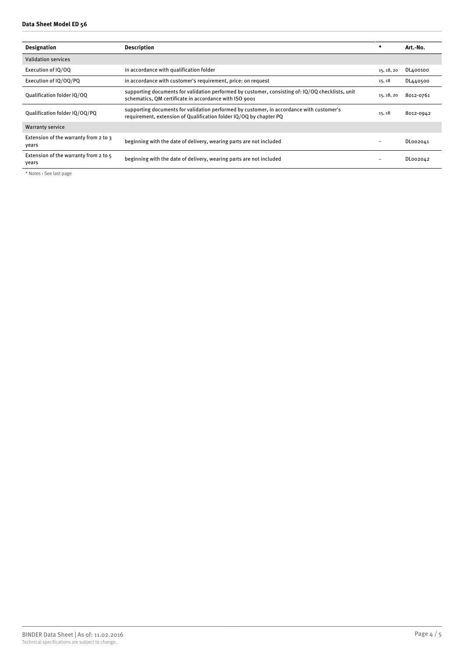| <b>Designation</b>                             | <b>Description</b>                                                                                                                                             | $\star$    | Art.-No.  |
|------------------------------------------------|----------------------------------------------------------------------------------------------------------------------------------------------------------------|------------|-----------|
| <b>Validation services</b>                     |                                                                                                                                                                |            |           |
| Execution of IO/OO                             | in accordance with qualification folder                                                                                                                        | 15, 18, 20 | DL400100  |
| Execution of IQ/OQ/PQ                          | in accordance with customer's requirement, price: on request                                                                                                   | 15, 18     | DL440500  |
| Qualification folder IQ/OQ                     | supporting documents for validation performed by customer, consisting of: IQ/OQ checklists, unit<br>schematics, QM certificate in accordance with ISO 9001     | 15, 18, 20 | 8012-0761 |
| Qualification folder IQ/OQ/PQ                  | supporting documents for validation performed by customer, in accordance with customer's<br>requirement, extension of Qualification folder IQ/OQ by chapter PQ | 15, 18     | 8012-0942 |
| <b>Warranty service</b>                        |                                                                                                                                                                |            |           |
| Extension of the warranty from 2 to 3<br>vears | beginning with the date of delivery, wearing parts are not included                                                                                            |            | DL002041  |
| Extension of the warranty from 2 to 5<br>vears | beginning with the date of delivery, wearing parts are not included                                                                                            |            | DL002042  |

\* Notes › See last page